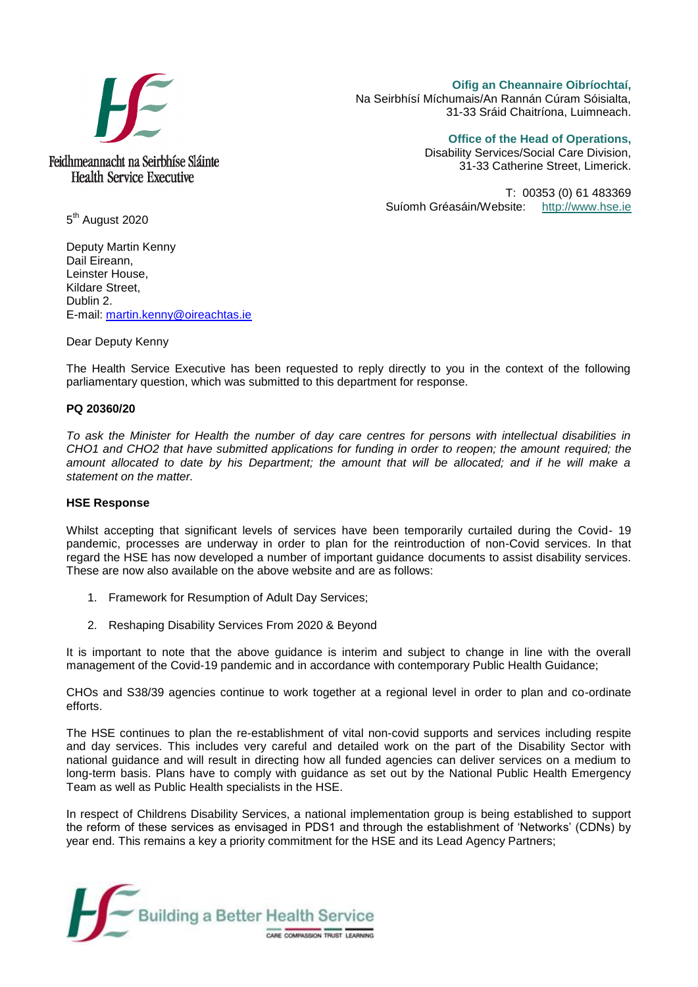

**Oifig an Cheannaire Oibríochtaí,**  Na Seirbhísí Míchumais/An Rannán Cúram Sóisialta, 31-33 Sráid Chaitríona, Luimneach.

**Office of the Head of Operations,** 

Disability Services/Social Care Division, 31-33 Catherine Street, Limerick.

T: 00353 (0) 61 483369 Suíomh Gréasáin/Website: [http://www.hse.ie](http://www.hse.ie/)

5<sup>th</sup> August 2020

Deputy Martin Kenny Dail Eireann, Leinster House, Kildare Street, Dublin 2. E-mail: [martin.kenny@oireachtas.ie](mailto:martin.kenny@oireachtas.ie)

Dear Deputy Kenny

The Health Service Executive has been requested to reply directly to you in the context of the following parliamentary question, which was submitted to this department for response.

## **PQ 20360/20**

*To ask the Minister for Health the number of day care centres for persons with intellectual disabilities in CHO1 and CHO2 that have submitted applications for funding in order to reopen; the amount required; the amount allocated to date by his Department; the amount that will be allocated; and if he will make a statement on the matter.*

## **HSE Response**

Whilst accepting that significant levels of services have been temporarily curtailed during the Covid- 19 pandemic, processes are underway in order to plan for the reintroduction of non-Covid services. In that regard the HSE has now developed a number of important guidance documents to assist disability services. These are now also available on the above website and are as follows:

- 1. Framework for Resumption of Adult Day Services;
- 2. Reshaping Disability Services From 2020 & Beyond

It is important to note that the above guidance is interim and subject to change in line with the overall management of the Covid-19 pandemic and in accordance with contemporary Public Health Guidance;

CHOs and S38/39 agencies continue to work together at a regional level in order to plan and co-ordinate efforts.

The HSE continues to plan the re-establishment of vital non-covid supports and services including respite and day services. This includes very careful and detailed work on the part of the Disability Sector with national guidance and will result in directing how all funded agencies can deliver services on a medium to long-term basis. Plans have to comply with guidance as set out by the National Public Health Emergency Team as well as Public Health specialists in the HSE.

In respect of Childrens Disability Services, a national implementation group is being established to support the reform of these services as envisaged in PDS1 and through the establishment of 'Networks' (CDNs) by year end. This remains a key a priority commitment for the HSE and its Lead Agency Partners;

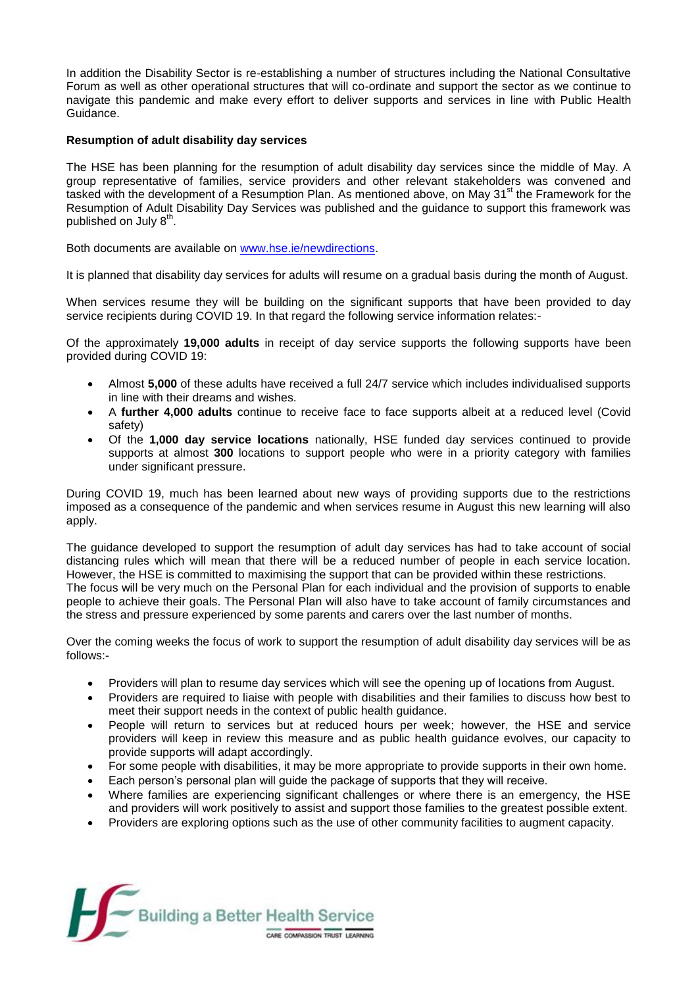In addition the Disability Sector is re-establishing a number of structures including the National Consultative Forum as well as other operational structures that will co-ordinate and support the sector as we continue to navigate this pandemic and make every effort to deliver supports and services in line with Public Health Guidance.

## **Resumption of adult disability day services**

The HSE has been planning for the resumption of adult disability day services since the middle of May. A group representative of families, service providers and other relevant stakeholders was convened and tasked with the development of a Resumption Plan. As mentioned above, on May 31<sup>st</sup> the Framework for the Resumption of Adult Disability Day Services was published and the guidance to support this framework was published on July 8<sup>th</sup>.

Both documents are available on [www.hse.ie/newdirections.](http://www.hse.ie/newdirections)

It is planned that disability day services for adults will resume on a gradual basis during the month of August.

When services resume they will be building on the significant supports that have been provided to day service recipients during COVID 19. In that regard the following service information relates:-

Of the approximately **19,000 adults** in receipt of day service supports the following supports have been provided during COVID 19:

- Almost **5,000** of these adults have received a full 24/7 service which includes individualised supports in line with their dreams and wishes.
- A **further 4,000 adults** continue to receive face to face supports albeit at a reduced level (Covid safety)
- Of the **1,000 day service locations** nationally, HSE funded day services continued to provide supports at almost **300** locations to support people who were in a priority category with families under significant pressure.

During COVID 19, much has been learned about new ways of providing supports due to the restrictions imposed as a consequence of the pandemic and when services resume in August this new learning will also apply.

The guidance developed to support the resumption of adult day services has had to take account of social distancing rules which will mean that there will be a reduced number of people in each service location. However, the HSE is committed to maximising the support that can be provided within these restrictions. The focus will be very much on the Personal Plan for each individual and the provision of supports to enable people to achieve their goals. The Personal Plan will also have to take account of family circumstances and the stress and pressure experienced by some parents and carers over the last number of months.

Over the coming weeks the focus of work to support the resumption of adult disability day services will be as follows:-

- Providers will plan to resume day services which will see the opening up of locations from August.
- Providers are required to liaise with people with disabilities and their families to discuss how best to meet their support needs in the context of public health guidance.
- People will return to services but at reduced hours per week; however, the HSE and service providers will keep in review this measure and as public health guidance evolves, our capacity to provide supports will adapt accordingly.
- For some people with disabilities, it may be more appropriate to provide supports in their own home.
- Each person's personal plan will guide the package of supports that they will receive.
- Where families are experiencing significant challenges or where there is an emergency, the HSE and providers will work positively to assist and support those families to the greatest possible extent.
- Providers are exploring options such as the use of other community facilities to augment capacity.